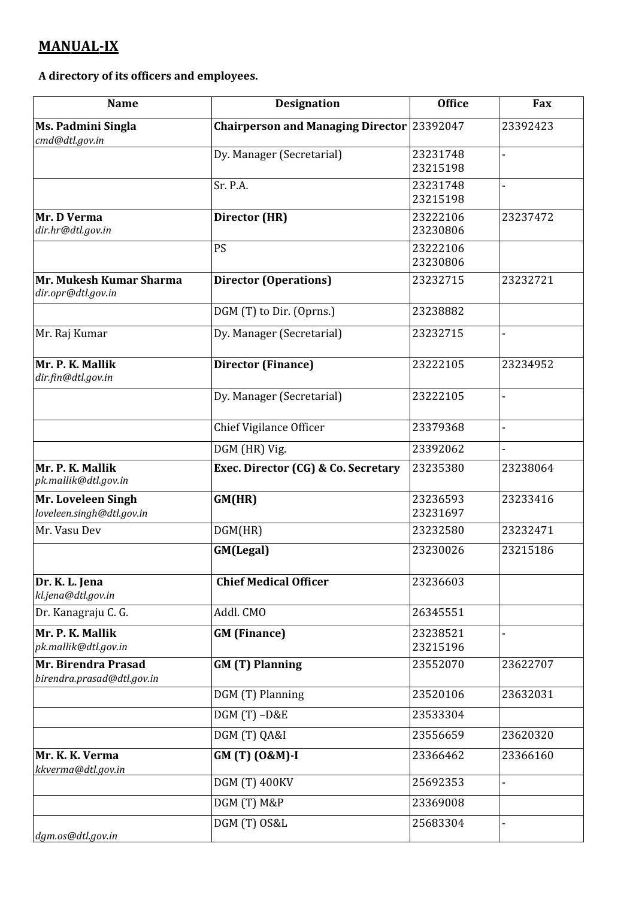## **MANUAL-IX**

**A directory of its officers and employees.**

| <b>Name</b>                                       | <b>Designation</b>                         | <b>Office</b>        | Fax      |
|---------------------------------------------------|--------------------------------------------|----------------------|----------|
| Ms. Padmini Singla<br>cmd@dtl.gov.in              | Chairperson and Managing Director 23392047 |                      | 23392423 |
|                                                   | Dy. Manager (Secretarial)                  | 23231748<br>23215198 |          |
|                                                   | Sr. P.A.                                   | 23231748<br>23215198 |          |
| Mr. D Verma<br>dir.hr@dtl.gov.in                  | Director (HR)                              | 23222106<br>23230806 | 23237472 |
|                                                   | PS                                         | 23222106<br>23230806 |          |
| Mr. Mukesh Kumar Sharma<br>dir.opr@dtl.gov.in     | <b>Director (Operations)</b>               | 23232715             | 23232721 |
|                                                   | DGM (T) to Dir. (Oprns.)                   | 23238882             |          |
| Mr. Raj Kumar                                     | Dy. Manager (Secretarial)                  | 23232715             |          |
| Mr. P. K. Mallik<br>dir.fin@dtl.gov.in            | <b>Director (Finance)</b>                  | 23222105             | 23234952 |
|                                                   | Dy. Manager (Secretarial)                  | 23222105             |          |
|                                                   | Chief Vigilance Officer                    | 23379368             |          |
|                                                   | DGM (HR) Vig.                              | 23392062             |          |
| Mr. P. K. Mallik<br>pk.mallik@dtl.gov.in          | Exec. Director (CG) & Co. Secretary        | 23235380             | 23238064 |
| Mr. Loveleen Singh<br>loveleen.singh@dtl.gov.in   | GM(HR)                                     | 23236593<br>23231697 | 23233416 |
| Mr. Vasu Dev                                      | DGM(HR)                                    | 23232580             | 23232471 |
|                                                   | GM(Legal)                                  | 23230026             | 23215186 |
| Dr. K. L. Jena<br>kl.jena@dtl.gov.in              | <b>Chief Medical Officer</b>               | 23236603             |          |
| Dr. Kanagraju C. G.                               | Addl. CMO                                  | 26345551             |          |
| Mr. P. K. Mallik<br>pk.mallik@dtl.gov.in          | <b>GM</b> (Finance)                        | 23238521<br>23215196 |          |
| Mr. Birendra Prasad<br>birendra.prasad@dtl.gov.in | <b>GM (T) Planning</b>                     | 23552070             | 23622707 |
|                                                   | DGM (T) Planning                           | 23520106             | 23632031 |
|                                                   | $DGM(T) - D&E$                             | 23533304             |          |
|                                                   | DGM (T) QA&I                               | 23556659             | 23620320 |
| Mr. K. K. Verma<br>kkverma@dtl.gov.in             | GM (T) (0&M)-I                             | 23366462             | 23366160 |
|                                                   | <b>DGM (T) 400KV</b>                       | 25692353             | ÷,       |
|                                                   | DGM (T) M&P                                | 23369008             |          |
| dgm.os@dtl.gov.in                                 | DGM (T) OS&L                               | 25683304             |          |